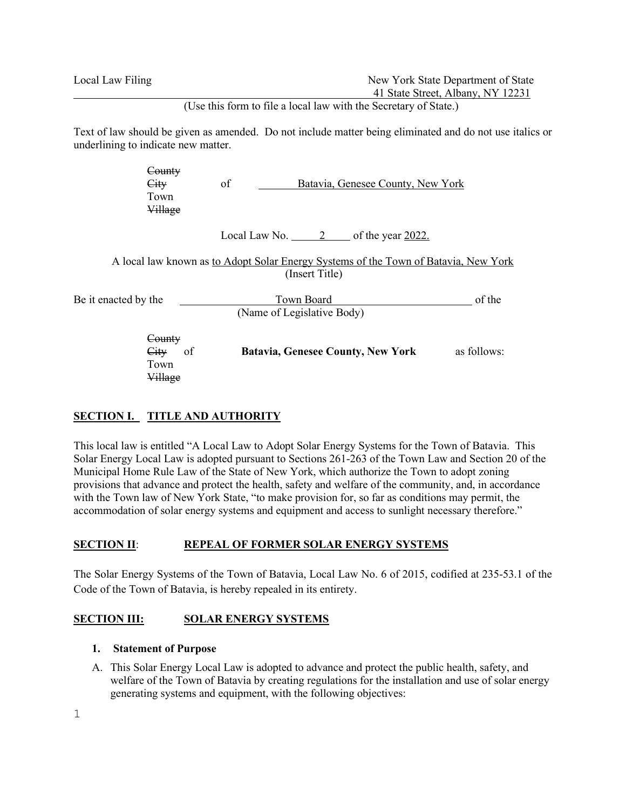Local Law Filing New York State Department of State 41 State Street, Albany, NY 12231

(Use this form to file a local law with the Secretary of State.)

Text of law should be given as amended. Do not include matter being eliminated and do not use italics or underlining to indicate new matter.

|                      | County<br>City<br>Town<br>Village              | of | Batavia, Genesee County, New York        |                                                                                     |             |
|----------------------|------------------------------------------------|----|------------------------------------------|-------------------------------------------------------------------------------------|-------------|
|                      |                                                |    |                                          | Local Law No. $2 \qquad$ of the year 2022.                                          |             |
|                      |                                                |    | (Insert Title)                           | A local law known as to Adopt Solar Energy Systems of the Town of Batavia, New York |             |
| Be it enacted by the |                                                |    | Town Board<br>(Name of Legislative Body) |                                                                                     |             |
|                      | County<br><b>City</b><br>of<br>Town<br>Village |    |                                          | <b>Batavia, Genesee County, New York</b>                                            | as follows: |

# **SECTION I. TITLE AND AUTHORITY**

This local law is entitled "A Local Law to Adopt Solar Energy Systems for the Town of Batavia. This Solar Energy Local Law is adopted pursuant to Sections 261-263 of the Town Law and Section 20 of the Municipal Home Rule Law of the State of New York, which authorize the Town to adopt zoning provisions that advance and protect the health, safety and welfare of the community, and, in accordance with the Town law of New York State, "to make provision for, so far as conditions may permit, the accommodation of solar energy systems and equipment and access to sunlight necessary therefore."

### **SECTION II: REPEAL OF FORMER SOLAR ENERGY SYSTEMS**

The Solar Energy Systems of the Town of Batavia, Local Law No. 6 of 2015, codified at 235-53.1 of the Code of the Town of Batavia, is hereby repealed in its entirety.

### **SECTION III: SOLAR ENERGY SYSTEMS**

### **1. Statement of Purpose**

A. This Solar Energy Local Law is adopted to advance and protect the public health, safety, and welfare of the Town of Batavia by creating regulations for the installation and use of solar energy generating systems and equipment, with the following objectives: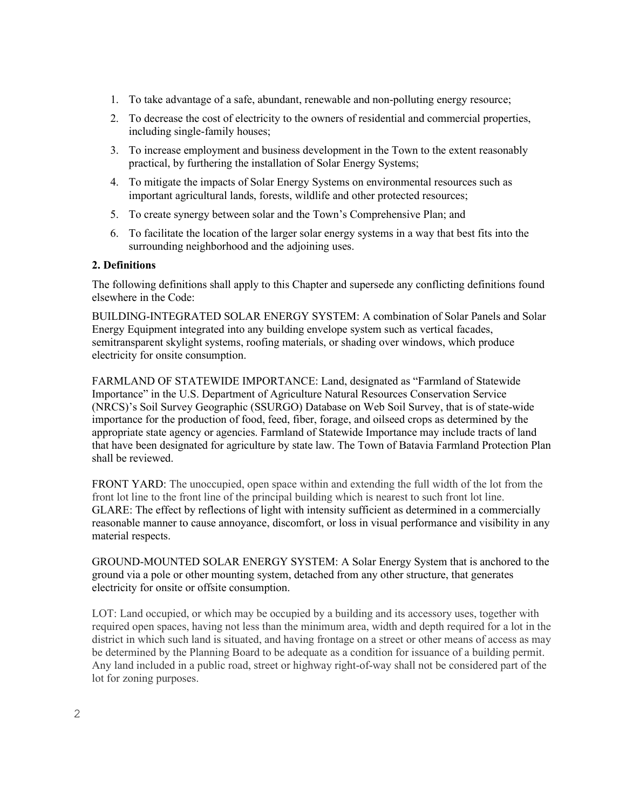- 1. To take advantage of a safe, abundant, renewable and non-polluting energy resource;
- 2. To decrease the cost of electricity to the owners of residential and commercial properties, including single-family houses;
- 3. To increase employment and business development in the Town to the extent reasonably practical, by furthering the installation of Solar Energy Systems;
- 4. To mitigate the impacts of Solar Energy Systems on environmental resources such as important agricultural lands, forests, wildlife and other protected resources;
- 5. To create synergy between solar and the Town's Comprehensive Plan; and
- 6. To facilitate the location of the larger solar energy systems in a way that best fits into the surrounding neighborhood and the adjoining uses.

### **2. Definitions**

The following definitions shall apply to this Chapter and supersede any conflicting definitions found elsewhere in the Code:

BUILDING-INTEGRATED SOLAR ENERGY SYSTEM: A combination of Solar Panels and Solar Energy Equipment integrated into any building envelope system such as vertical facades, semitransparent skylight systems, roofing materials, or shading over windows, which produce electricity for onsite consumption.

FARMLAND OF STATEWIDE IMPORTANCE: Land, designated as "Farmland of Statewide Importance" in the U.S. Department of Agriculture Natural Resources Conservation Service (NRCS)'s Soil Survey Geographic (SSURGO) Database on Web Soil Survey, that is of state-wide importance for the production of food, feed, fiber, forage, and oilseed crops as determined by the appropriate state agency or agencies. Farmland of Statewide Importance may include tracts of land that have been designated for agriculture by state law. The Town of Batavia Farmland Protection Plan shall be reviewed.

FRONT YARD: The unoccupied, open space within and extending the full width of the lot from the front lot line to the front line of the principal building which is nearest to such front lot line. GLARE: The effect by reflections of light with intensity sufficient as determined in a commercially reasonable manner to cause annoyance, discomfort, or loss in visual performance and visibility in any material respects.

GROUND-MOUNTED SOLAR ENERGY SYSTEM: A Solar Energy System that is anchored to the ground via a pole or other mounting system, detached from any other structure, that generates electricity for onsite or offsite consumption.

[LOT:](https://ecode360.com/8982543#8982543) Land occupied, or which may be occupied by a building and its accessory uses, together with required open spaces, having not less than the minimum area, width and depth required for a lot in the district in which such land is situated, and having frontage on a street or other means of access as may be determined by the Planning Board to be adequate as a condition for issuance of a building permit. Any land included in a public road, street or highway right-of-way shall not be considered part of the lot for zoning purposes.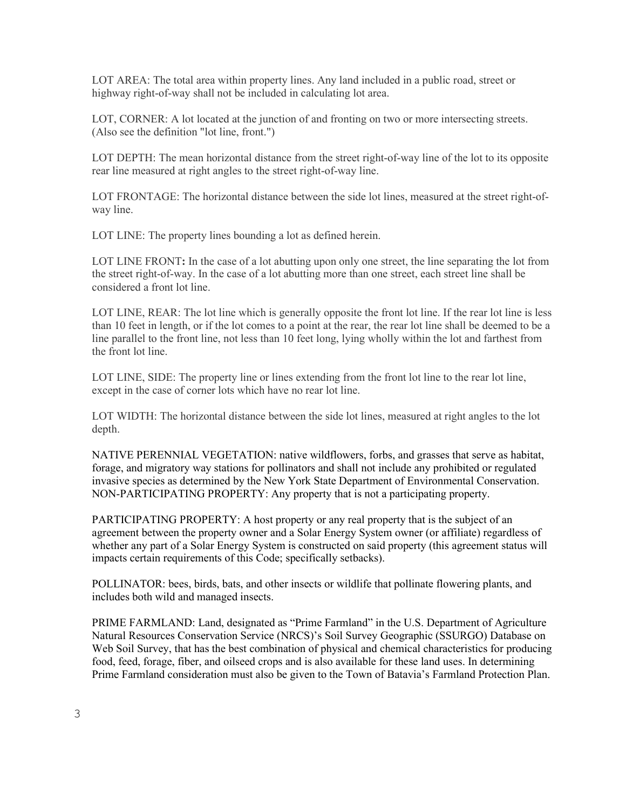[LOT AREA:](https://ecode360.com/8982544#8982544) The total area within property lines. Any land included in a public road, street or highway right-of-way shall not be included in calculating lot area.

[LOT, CORNER:](https://ecode360.com/8982545#8982545) A lot located at the junction of and fronting on two or more intersecting streets. (Also see the definition "lot line, front.")

[LOT DEPTH:](https://ecode360.com/8982546#8982546) The mean horizontal distance from the street right-of-way line of the lot to its opposite rear line measured at right angles to the street right-of-way line.

[LOT FRONTAGE:](https://ecode360.com/8982547#8982547) The horizontal distance between the side lot lines, measured at the street right-ofway line.

[LOT LINE:](https://ecode360.com/8982548#8982548) The property lines bounding a lot as defined herein.

LOT LINE FRONT: In the case of a lot abutting upon only one street, the line separating the lot from the street right-of-way. In the case of a lot abutting more than one street, each street line shall be considered a front lot line.

[LOT LINE, REAR:](https://ecode360.com/8982550#8982550) The lot line which is generally opposite the front lot line. If the rear lot line is less than 10 feet in length, or if the lot comes to a point at the rear, the rear lot line shall be deemed to be a line parallel to the front line, not less than 10 feet long, lying wholly within the lot and farthest from the front lot line.

[LOT LINE, SIDE:](https://ecode360.com/8982551#8982551) The property line or lines extending from the front lot line to the rear lot line, except in the case of corner lots which have no rear lot line.

[LOT WIDTH:](https://ecode360.com/8982552#8982552) The horizontal distance between the side lot lines, measured at right angles to the lot depth.

NATIVE PERENNIAL VEGETATION: native wildflowers, forbs, and grasses that serve as habitat, forage, and migratory way stations for pollinators and shall not include any prohibited or regulated invasive species as determined by the New York State Department of Environmental Conservation. NON-PARTICIPATING PROPERTY: Any property that is not a participating property.

PARTICIPATING PROPERTY: A host property or any real property that is the subject of an agreement between the property owner and a Solar Energy System owner (or affiliate) regardless of whether any part of a Solar Energy System is constructed on said property (this agreement status will impacts certain requirements of this Code; specifically setbacks).

POLLINATOR: bees, birds, bats, and other insects or wildlife that pollinate flowering plants, and includes both wild and managed insects.

PRIME FARMLAND: Land, designated as "Prime Farmland" in the U.S. Department of Agriculture Natural Resources Conservation Service (NRCS)'s Soil Survey Geographic (SSURGO) Database on Web Soil Survey, that has the best combination of physical and chemical characteristics for producing food, feed, forage, fiber, and oilseed crops and is also available for these land uses. In determining Prime Farmland consideration must also be given to the Town of Batavia's Farmland Protection Plan.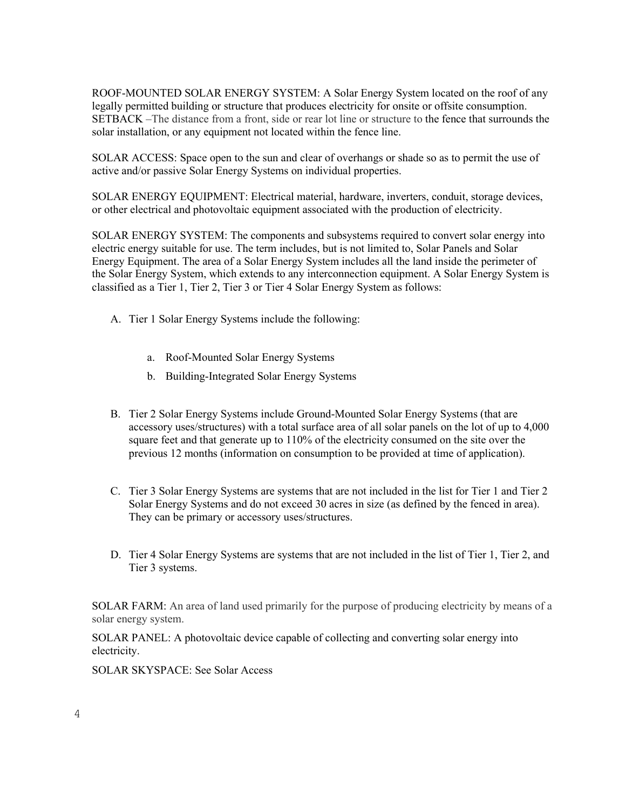ROOF-MOUNTED SOLAR ENERGY SYSTEM: A Solar Energy System located on the roof of any legally permitted building or structure that produces electricity for onsite or offsite consumption. SETBACK –The distance from a front, side or rear lot line or structure to the fence that surrounds the solar installation, or any equipment not located within the fence line.

SOLAR ACCESS: Space open to the sun and clear of overhangs or shade so as to permit the use of active and/or passive Solar Energy Systems on individual properties.

SOLAR ENERGY EQUIPMENT: Electrical material, hardware, inverters, conduit, storage devices, or other electrical and photovoltaic equipment associated with the production of electricity.

SOLAR ENERGY SYSTEM: The components and subsystems required to convert solar energy into electric energy suitable for use. The term includes, but is not limited to, Solar Panels and Solar Energy Equipment. The area of a Solar Energy System includes all the land inside the perimeter of the Solar Energy System, which extends to any interconnection equipment. A Solar Energy System is classified as a Tier 1, Tier 2, Tier 3 or Tier 4 Solar Energy System as follows:

- A. Tier 1 Solar Energy Systems include the following:
	- a. Roof-Mounted Solar Energy Systems
	- b. Building-Integrated Solar Energy Systems
- B. Tier 2 Solar Energy Systems include Ground-Mounted Solar Energy Systems (that are accessory uses/structures) with a total surface area of all solar panels on the lot of up to 4,000 square feet and that generate up to 110% of the electricity consumed on the site over the previous 12 months (information on consumption to be provided at time of application).
- C. Tier 3 Solar Energy Systems are systems that are not included in the list for Tier 1 and Tier 2 Solar Energy Systems and do not exceed 30 acres in size (as defined by the fenced in area). They can be primary or accessory uses/structures.
- D. Tier 4 Solar Energy Systems are systems that are not included in the list of Tier 1, Tier 2, and Tier 3 systems.

SOLAR FARM: An area of land used primarily for the purpose of producing electricity by means of a solar energy system.

SOLAR PANEL: A photovoltaic device capable of collecting and converting solar energy into electricity.

SOLAR SKYSPACE: See Solar Access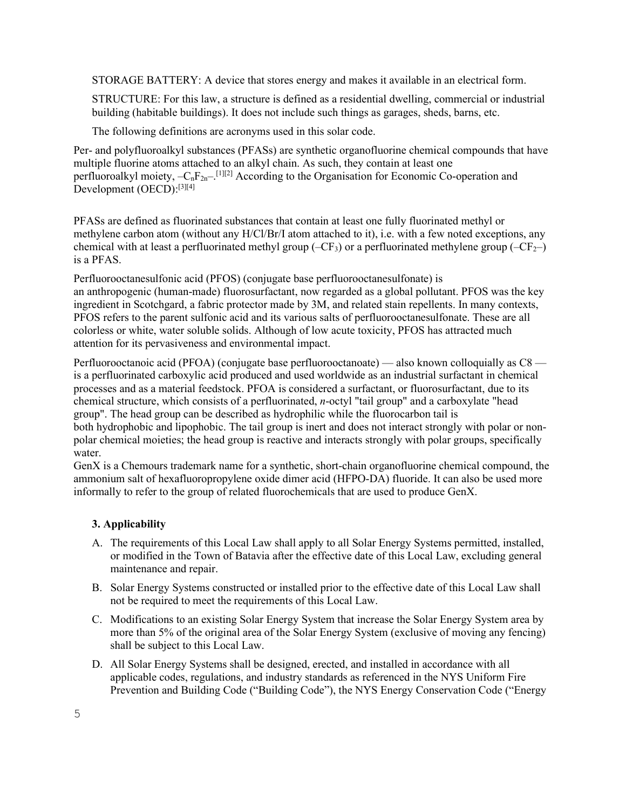STORAGE BATTERY: A device that stores energy and makes it available in an electrical form.

STRUCTURE: For this law, a structure is defined as a residential dwelling, commercial or industrial building (habitable buildings). It does not include such things as garages, sheds, barns, etc.

The following definitions are acronyms used in this solar code.

Per- and polyfluoroalkyl substances (PFASs) are synthetic [organofluorine](https://en.wikipedia.org/wiki/Organofluorine_chemistry) [chemical compounds](https://en.wikipedia.org/wiki/Chemical_compound) that have multiple [fluorine](https://en.wikipedia.org/wiki/Fluorine) [atoms](https://en.wikipedia.org/wiki/Atom) attached to an [alkyl](https://en.wikipedia.org/wiki/Alkyl) chain. As such, they contain at least one perfluoroalkyl [moiety,](https://en.wikipedia.org/wiki/Moiety_(chemistry))  $-C_nF_{2n-1}$ <sup>[1][[2\]](https://en.wikipedia.org/wiki/Per-_and_polyfluoroalkyl_substances#cite_note-2)</sup> According to the Organisation for Economic Co-operation and [Development](https://en.wikipedia.org/wiki/Organisation_for_Economic_Co-operation_and_Development) (OECD):<sup>[3][[4\]](https://en.wikipedia.org/wiki/Per-_and_polyfluoroalkyl_substances#cite_note-4)</sup>

PFASs are defined as fluorinated substances that contain at least one fully fluorinated methyl or methylene carbon atom (without any H/Cl/Br/I atom attached to it), i.e. with a few noted exceptions, any chemical with at least a perfluorinated [methyl group](https://en.wikipedia.org/wiki/Methyl_group) (–CF<sub>3</sub>) or a perfluorinated [methylene group](https://en.wikipedia.org/wiki/Methylene_group) (–CF<sub>2</sub>–) is a PFAS.

Perfluorooctanesulfonic acid (PFOS) [\(conjugate base](https://en.wikipedia.org/wiki/Conjugate_acid) perfluorooctanesulfonate) is an [anthropogenic](https://en.wikipedia.org/wiki/Human_impact_on_the_environment) (human-made) [fluorosurfactant,](https://en.wikipedia.org/wiki/Fluorosurfactant) now regarded as a global [pollutant.](https://en.wikipedia.org/wiki/Pollutant) PFOS was the key ingredient in [Scotchgard,](https://en.wikipedia.org/wiki/Scotchgard) a fabric protector made by [3M,](https://en.wikipedia.org/wiki/3M) and related stain repellents. In many contexts, PFOS refers to the parent sulfonic acid and its various salts of perfluorooctanesulfonate. These are all colorless or white, water soluble solids. Although of low acute toxicity, PFOS has attracted much attention for its pervasiveness and environmental impact.

Perfluorooctanoic acid (PFOA) [\(conjugate base](https://en.wikipedia.org/wiki/Conjugate_acid) perfluorooctanoate) — also known colloquially as C8 is a [perfluorinated carboxylic acid](https://en.wikipedia.org/wiki/Perfluorinated_carboxylic_acid) produced and used worldwide as an industrial [surfactant](https://en.wikipedia.org/wiki/Surfactant) in chemical processes and as a material [feedstock.](https://en.wikipedia.org/wiki/Feedstock) PFOA is considered a surfactant, or fluorosurfactant, due to its chemical structure, which consists of a perfluorinated, *n*-octyl "tail group" and a [carboxylate](https://en.wikipedia.org/wiki/Carboxylate) "head group". The head group can be described as [hydrophilic](https://en.wikipedia.org/wiki/Hydrophilic) while the [fluorocarbon](https://en.wikipedia.org/wiki/Fluorocarbon) tail is both [hydrophobic](https://en.wikipedia.org/wiki/Hydrophobic) and [lipophobic.](https://en.wikipedia.org/wiki/Lipophobic) The tail group is inert and does not interact strongly with polar or non-

polar chemical [moieties;](https://en.wikipedia.org/wiki/Moiety_(chemistry)) the head group is reactive and interacts strongly with polar groups, specifically water.

GenX is a [Chemours](https://en.wikipedia.org/wiki/Chemours) trademark name for a synthetic, short-chain [organofluorine](https://en.wikipedia.org/wiki/Organofluorine) chemical compound, the ammonium salt of [hexafluoropropylene oxide dimer acid](https://en.wikipedia.org/wiki/Hexafluoropropylene_oxide_dimer_acid) [\(HFPO-DA\)](https://en.wikipedia.org/wiki/FRD-903) fluoride. It can also be used more informally to refer to the group of related fluorochemicals that are used to produce GenX.

### **3. Applicability**

- A. The requirements of this Local Law shall apply to all Solar Energy Systems permitted, installed, or modified in the Town of Batavia after the effective date of this Local Law, excluding general maintenance and repair.
- B. Solar Energy Systems constructed or installed prior to the effective date of this Local Law shall not be required to meet the requirements of this Local Law.
- C. Modifications to an existing Solar Energy System that increase the Solar Energy System area by more than 5% of the original area of the Solar Energy System (exclusive of moving any fencing) shall be subject to this Local Law.
- D. All Solar Energy Systems shall be designed, erected, and installed in accordance with all applicable codes, regulations, and industry standards as referenced in the NYS Uniform Fire Prevention and Building Code ("Building Code"), the NYS Energy Conservation Code ("Energy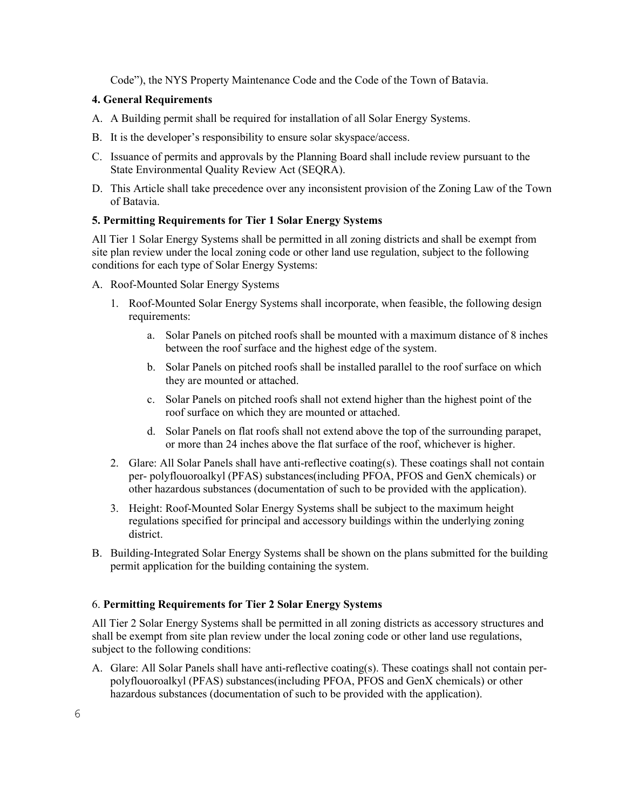Code"), the NYS Property Maintenance Code and the Code of the Town of Batavia.

### **4. General Requirements**

- A. A Building permit shall be required for installation of all Solar Energy Systems.
- B. It is the developer's responsibility to ensure solar skyspace/access.
- C. Issuance of permits and approvals by the Planning Board shall include review pursuant to the State Environmental Quality Review Act (SEQRA).
- D. This Article shall take precedence over any inconsistent provision of the Zoning Law of the Town of Batavia.

### **5. Permitting Requirements for Tier 1 Solar Energy Systems**

All Tier 1 Solar Energy Systems shall be permitted in all zoning districts and shall be exempt from site plan review under the local zoning code or other land use regulation, subject to the following conditions for each type of Solar Energy Systems:

- A. Roof-Mounted Solar Energy Systems
	- 1. Roof-Mounted Solar Energy Systems shall incorporate, when feasible, the following design requirements:
		- a. Solar Panels on pitched roofs shall be mounted with a maximum distance of 8 inches between the roof surface and the highest edge of the system.
		- b. Solar Panels on pitched roofs shall be installed parallel to the roof surface on which they are mounted or attached.
		- c. Solar Panels on pitched roofs shall not extend higher than the highest point of the roof surface on which they are mounted or attached.
		- d. Solar Panels on flat roofs shall not extend above the top of the surrounding parapet, or more than 24 inches above the flat surface of the roof, whichever is higher.
	- 2. Glare: All Solar Panels shall have anti-reflective coating(s). These coatings shall not contain per- polyflouoroalkyl (PFAS) substances(including PFOA, PFOS and GenX chemicals) or other hazardous substances (documentation of such to be provided with the application).
	- 3. Height: Roof-Mounted Solar Energy Systems shall be subject to the maximum height regulations specified for principal and accessory buildings within the underlying zoning district.
- B. Building-Integrated Solar Energy Systems shall be shown on the plans submitted for the building permit application for the building containing the system.

## 6. **Permitting Requirements for Tier 2 Solar Energy Systems**

All Tier 2 Solar Energy Systems shall be permitted in all zoning districts as accessory structures and shall be exempt from site plan review under the local zoning code or other land use regulations, subject to the following conditions:

A. Glare: All Solar Panels shall have anti-reflective coating(s). These coatings shall not contain perpolyflouoroalkyl (PFAS) substances(including PFOA, PFOS and GenX chemicals) or other hazardous substances (documentation of such to be provided with the application).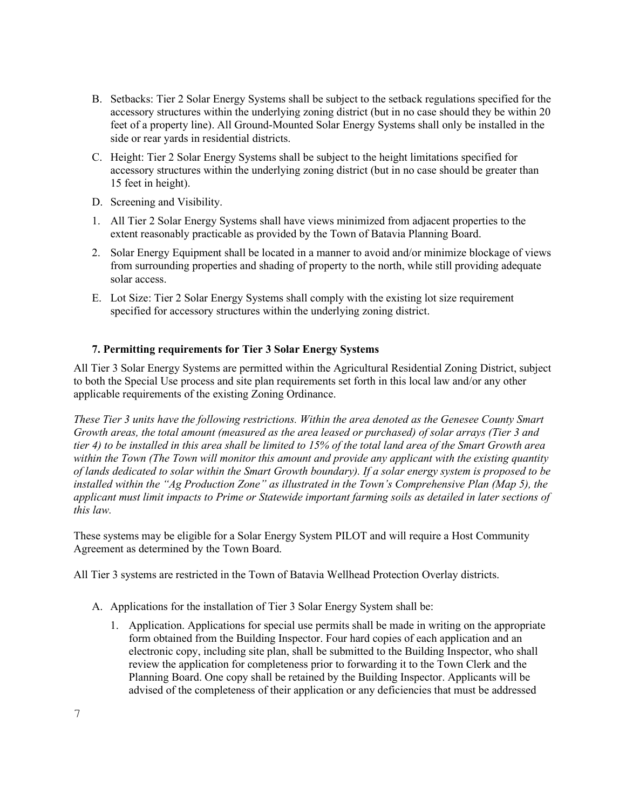- B. Setbacks: Tier 2 Solar Energy Systems shall be subject to the setback regulations specified for the accessory structures within the underlying zoning district (but in no case should they be within 20 feet of a property line). All Ground-Mounted Solar Energy Systems shall only be installed in the side or rear yards in residential districts.
- C. Height: Tier 2 Solar Energy Systems shall be subject to the height limitations specified for accessory structures within the underlying zoning district (but in no case should be greater than 15 feet in height).
- D. Screening and Visibility.
- 1. All Tier 2 Solar Energy Systems shall have views minimized from adjacent properties to the extent reasonably practicable as provided by the Town of Batavia Planning Board.
- 2. Solar Energy Equipment shall be located in a manner to avoid and/or minimize blockage of views from surrounding properties and shading of property to the north, while still providing adequate solar access.
- E. Lot Size: Tier 2 Solar Energy Systems shall comply with the existing lot size requirement specified for accessory structures within the underlying zoning district.

### **7. Permitting requirements for Tier 3 Solar Energy Systems**

All Tier 3 Solar Energy Systems are permitted within the Agricultural Residential Zoning District, subject to both the Special Use process and site plan requirements set forth in this local law and/or any other applicable requirements of the existing Zoning Ordinance.

*These Tier 3 units have the following restrictions. Within the area denoted as the Genesee County Smart Growth areas, the total amount (measured as the area leased or purchased) of solar arrays (Tier 3 and tier 4) to be installed in this area shall be limited to 15% of the total land area of the Smart Growth area within the Town (The Town will monitor this amount and provide any applicant with the existing quantity of lands dedicated to solar within the Smart Growth boundary). If a solar energy system is proposed to be installed within the "Ag Production Zone" as illustrated in the Town's Comprehensive Plan (Map 5), the applicant must limit impacts to Prime or Statewide important farming soils as detailed in later sections of this law.* 

These systems may be eligible for a Solar Energy System PILOT and will require a Host Community Agreement as determined by the Town Board.

All Tier 3 systems are restricted in the Town of Batavia Wellhead Protection Overlay districts.

- A. Applications for the installation of Tier 3 Solar Energy System shall be:
	- 1. Application. Applications for special use permits shall be made in writing on the appropriate form obtained from the Building Inspector. Four hard copies of each application and an electronic copy, including site plan, shall be submitted to the Building Inspector, who shall review the application for completeness prior to forwarding it to the Town Clerk and the Planning Board. One copy shall be retained by the Building Inspector. Applicants will be advised of the completeness of their application or any deficiencies that must be addressed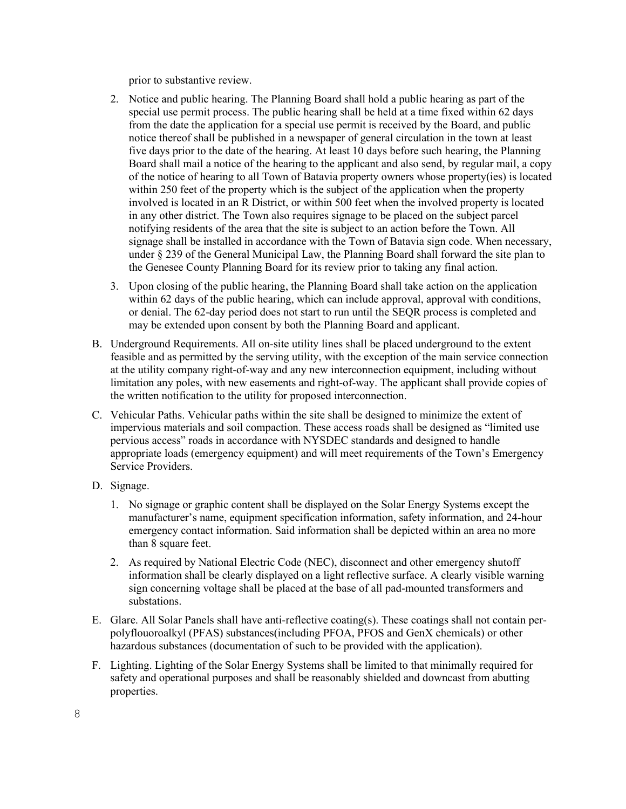prior to substantive review.

- 2. Notice and public hearing. The Planning Board shall hold a public hearing as part of the special use permit process. The public hearing shall be held at a time fixed within 62 days from the date the application for a special use permit is received by the Board, and public notice thereof shall be published in a newspaper of general circulation in the town at least five days prior to the date of the hearing. At least 10 days before such hearing, the Planning Board shall mail a notice of the hearing to the applicant and also send, by regular mail, a copy of the notice of hearing to all Town of Batavia property owners whose property(ies) is located within 250 feet of the property which is the subject of the application when the property involved is located in an R District, or within 500 feet when the involved property is located in any other district. The Town also requires signage to be placed on the subject parcel notifying residents of the area that the site is subject to an action before the Town. All signage shall be installed in accordance with the Town of Batavia sign code. When necessary, under § 239 of the General Municipal Law, the Planning Board shall forward the site plan to the Genesee County Planning Board for its review prior to taking any final action.
- 3. Upon closing of the public hearing, the Planning Board shall take action on the application within 62 days of the public hearing, which can include approval, approval with conditions, or denial. The 62-day period does not start to run until the SEQR process is completed and may be extended upon consent by both the Planning Board and applicant.
- B. Underground Requirements. All on-site utility lines shall be placed underground to the extent feasible and as permitted by the serving utility, with the exception of the main service connection at the utility company right-of-way and any new interconnection equipment, including without limitation any poles, with new easements and right-of-way. The applicant shall provide copies of the written notification to the utility for proposed interconnection.
- C. Vehicular Paths. Vehicular paths within the site shall be designed to minimize the extent of impervious materials and soil compaction. These access roads shall be designed as "limited use pervious access" roads in accordance with NYSDEC standards and designed to handle appropriate loads (emergency equipment) and will meet requirements of the Town's Emergency Service Providers.
- D. Signage.
	- 1. No signage or graphic content shall be displayed on the Solar Energy Systems except the manufacturer's name, equipment specification information, safety information, and 24-hour emergency contact information. Said information shall be depicted within an area no more than 8 square feet.
	- 2. As required by National Electric Code (NEC), disconnect and other emergency shutoff information shall be clearly displayed on a light reflective surface. A clearly visible warning sign concerning voltage shall be placed at the base of all pad-mounted transformers and substations.
- E. Glare. All Solar Panels shall have anti-reflective coating(s). These coatings shall not contain perpolyflouoroalkyl (PFAS) substances(including PFOA, PFOS and GenX chemicals) or other hazardous substances (documentation of such to be provided with the application).
- F. Lighting. Lighting of the Solar Energy Systems shall be limited to that minimally required for safety and operational purposes and shall be reasonably shielded and downcast from abutting properties.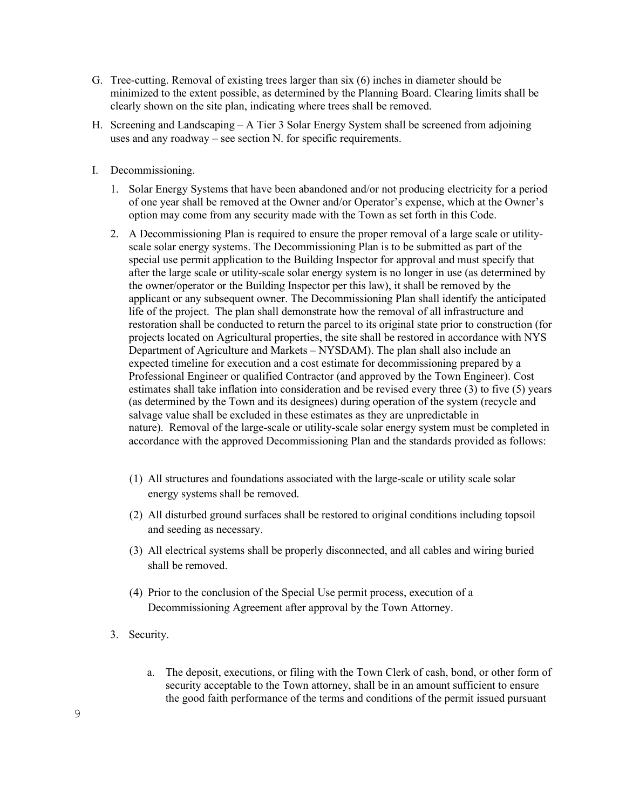- G. Tree-cutting. Removal of existing trees larger than six (6) inches in diameter should be minimized to the extent possible, as determined by the Planning Board. Clearing limits shall be clearly shown on the site plan, indicating where trees shall be removed.
- H. Screening and Landscaping A Tier 3 Solar Energy System shall be screened from adjoining uses and any roadway – see section N. for specific requirements.
- I. Decommissioning.
	- 1. Solar Energy Systems that have been abandoned and/or not producing electricity for a period of one year shall be removed at the Owner and/or Operator's expense, which at the Owner's option may come from any security made with the Town as set forth in this Code.
	- 2. A Decommissioning Plan is required to ensure the proper removal of a large scale or utilityscale solar energy systems. The Decommissioning Plan is to be submitted as part of the special use permit application to the Building Inspector for approval and must specify that after the large scale or utility-scale solar energy system is no longer in use (as determined by the owner/operator or the Building Inspector per this law), it shall be removed by the applicant or any subsequent owner. The Decommissioning Plan shall identify the anticipated life of the project. The plan shall demonstrate how the removal of all infrastructure and restoration shall be conducted to return the parcel to its original state prior to construction (for projects located on Agricultural properties, the site shall be restored in accordance with NYS Department of Agriculture and Markets – NYSDAM). The plan shall also include an expected timeline for execution and a cost estimate for decommissioning prepared by a Professional Engineer or qualified Contractor (and approved by the Town Engineer). Cost estimates shall take inflation into consideration and be revised every three (3) to five (5) years (as determined by the Town and its designees) during operation of the system (recycle and salvage value shall be excluded in these estimates as they are unpredictable in nature). Removal of the large-scale or utility-scale solar energy system must be completed in accordance with the approved Decommissioning Plan and the standards provided as follows:
		- (1) All structures and foundations associated with the large-scale or utility scale solar energy systems shall be removed.
		- (2) All disturbed ground surfaces shall be restored to original conditions including topsoil and seeding as necessary.
		- (3) All electrical systems shall be properly disconnected, and all cables and wiring buried shall be removed.
		- (4) Prior to the conclusion of the Special Use permit process, execution of a Decommissioning Agreement after approval by the Town Attorney.
	- 3. Security.
		- a. The deposit, executions, or filing with the Town Clerk of cash, bond, or other form of security acceptable to the Town attorney, shall be in an amount sufficient to ensure the good faith performance of the terms and conditions of the permit issued pursuant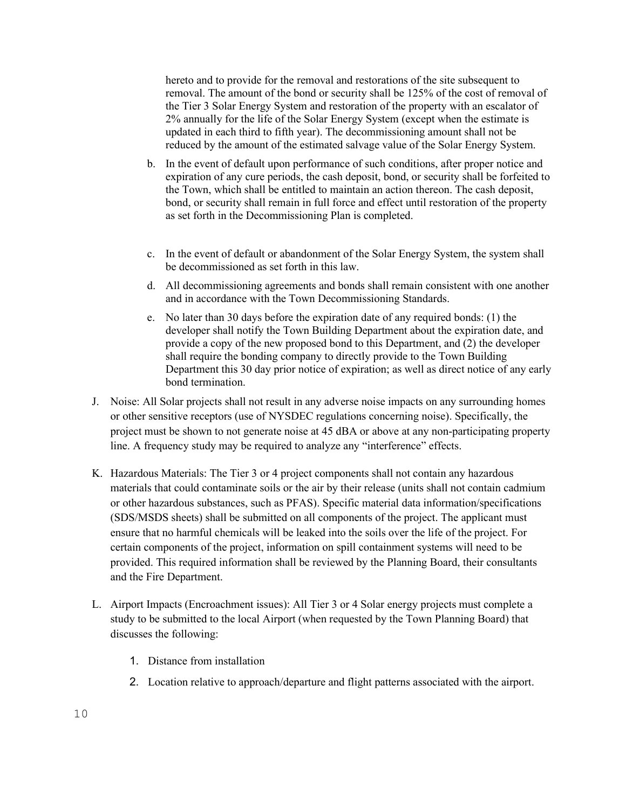hereto and to provide for the removal and restorations of the site subsequent to removal. The amount of the bond or security shall be 125% of the cost of removal of the Tier 3 Solar Energy System and restoration of the property with an escalator of 2% annually for the life of the Solar Energy System (except when the estimate is updated in each third to fifth year). The decommissioning amount shall not be reduced by the amount of the estimated salvage value of the Solar Energy System.

- b. In the event of default upon performance of such conditions, after proper notice and expiration of any cure periods, the cash deposit, bond, or security shall be forfeited to the Town, which shall be entitled to maintain an action thereon. The cash deposit, bond, or security shall remain in full force and effect until restoration of the property as set forth in the Decommissioning Plan is completed.
- c. In the event of default or abandonment of the Solar Energy System, the system shall be decommissioned as set forth in this law.
- d. All decommissioning agreements and bonds shall remain consistent with one another and in accordance with the Town Decommissioning Standards.
- e. No later than 30 days before the expiration date of any required bonds: (1) the developer shall notify the Town Building Department about the expiration date, and provide a copy of the new proposed bond to this Department, and (2) the developer shall require the bonding company to directly provide to the Town Building Department this 30 day prior notice of expiration; as well as direct notice of any early bond termination.
- J. Noise: All Solar projects shall not result in any adverse noise impacts on any surrounding homes or other sensitive receptors (use of NYSDEC regulations concerning noise). Specifically, the project must be shown to not generate noise at 45 dBA or above at any non-participating property line. A frequency study may be required to analyze any "interference" effects.
- K. Hazardous Materials: The Tier 3 or 4 project components shall not contain any hazardous materials that could contaminate soils or the air by their release (units shall not contain cadmium or other hazardous substances, such as PFAS). Specific material data information/specifications (SDS/MSDS sheets) shall be submitted on all components of the project. The applicant must ensure that no harmful chemicals will be leaked into the soils over the life of the project. For certain components of the project, information on spill containment systems will need to be provided. This required information shall be reviewed by the Planning Board, their consultants and the Fire Department.
- L. Airport Impacts (Encroachment issues): All Tier 3 or 4 Solar energy projects must complete a study to be submitted to the local Airport (when requested by the Town Planning Board) that discusses the following:
	- 1. Distance from installation
	- 2. Location relative to approach/departure and flight patterns associated with the airport.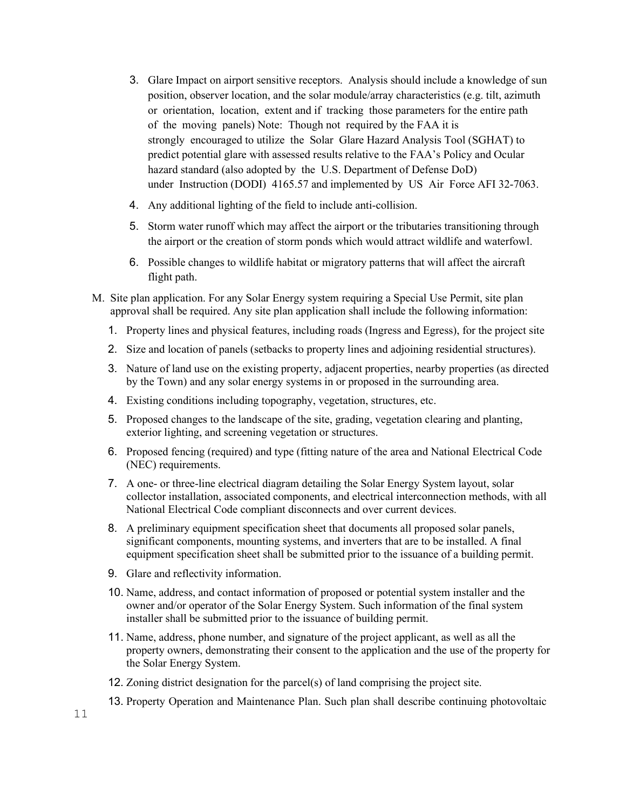- 3. Glare Impact on airport sensitive receptors. Analysis should include a knowledge of sun position, observer location, and the solar module/array characteristics (e.g. tilt, azimuth or orientation, location, extent and if tracking those parameters for the entire path of the moving panels) Note: Though not required by the FAA it is strongly encouraged to utilize the Solar Glare Hazard Analysis Tool (SGHAT) to predict potential glare with assessed results relative to the FAA's Policy and Ocular hazard standard (also adopted by the U.S. Department of Defense DoD) under Instruction (DODI) 4165.57 and implemented by US Air Force AFI 32-7063.
- 4. Any additional lighting of the field to include anti-collision.
- 5. Storm water runoff which may affect the airport or the tributaries transitioning through the airport or the creation of storm ponds which would attract wildlife and waterfowl.
- 6. Possible changes to wildlife habitat or migratory patterns that will affect the aircraft flight path.
- M. Site plan application. For any Solar Energy system requiring a Special Use Permit, site plan approval shall be required. Any site plan application shall include the following information:
	- 1. Property lines and physical features, including roads (Ingress and Egress), for the project site
	- 2. Size and location of panels (setbacks to property lines and adjoining residential structures).
	- 3. Nature of land use on the existing property, adjacent properties, nearby properties (as directed by the Town) and any solar energy systems in or proposed in the surrounding area.
	- 4. Existing conditions including topography, vegetation, structures, etc.
	- 5. Proposed changes to the landscape of the site, grading, vegetation clearing and planting, exterior lighting, and screening vegetation or structures.
	- 6. Proposed fencing (required) and type (fitting nature of the area and National Electrical Code (NEC) requirements.
	- 7. A one- or three-line electrical diagram detailing the Solar Energy System layout, solar collector installation, associated components, and electrical interconnection methods, with all National Electrical Code compliant disconnects and over current devices.
	- 8. A preliminary equipment specification sheet that documents all proposed solar panels, significant components, mounting systems, and inverters that are to be installed. A final equipment specification sheet shall be submitted prior to the issuance of a building permit.
	- 9. Glare and reflectivity information.
	- 10. Name, address, and contact information of proposed or potential system installer and the owner and/or operator of the Solar Energy System. Such information of the final system installer shall be submitted prior to the issuance of building permit.
	- 11. Name, address, phone number, and signature of the project applicant, as well as all the property owners, demonstrating their consent to the application and the use of the property for the Solar Energy System.
	- 12. Zoning district designation for the parcel(s) of land comprising the project site.
	- 13. Property Operation and Maintenance Plan. Such plan shall describe continuing photovoltaic

11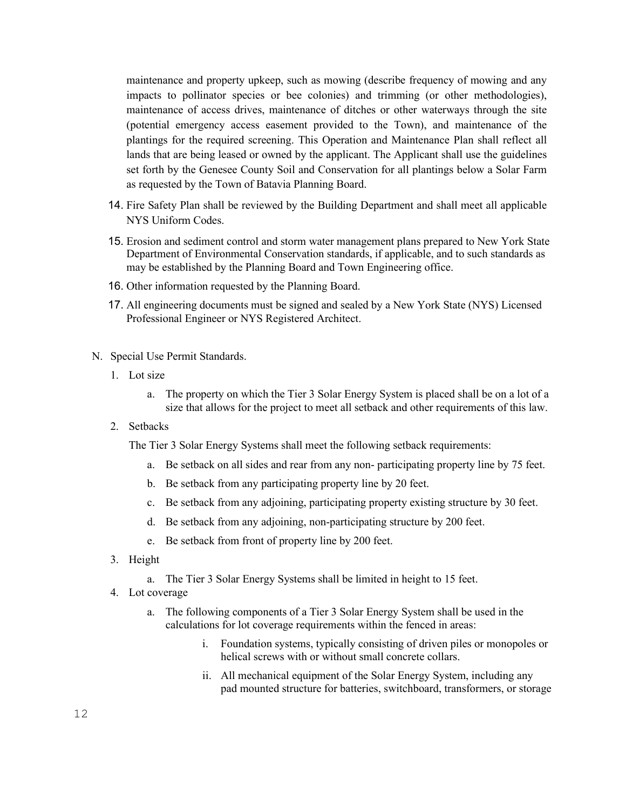maintenance and property upkeep, such as mowing (describe frequency of mowing and any impacts to pollinator species or bee colonies) and trimming (or other methodologies), maintenance of access drives, maintenance of ditches or other waterways through the site (potential emergency access easement provided to the Town), and maintenance of the plantings for the required screening. This Operation and Maintenance Plan shall reflect all lands that are being leased or owned by the applicant. The Applicant shall use the guidelines set forth by the Genesee County Soil and Conservation for all plantings below a Solar Farm as requested by the Town of Batavia Planning Board.

- 14. Fire Safety Plan shall be reviewed by the Building Department and shall meet all applicable NYS Uniform Codes.
- 15. Erosion and sediment control and storm water management plans prepared to New York State Department of Environmental Conservation standards, if applicable, and to such standards as may be established by the Planning Board and Town Engineering office.
- 16. Other information requested by the Planning Board.
- 17. All engineering documents must be signed and sealed by a New York State (NYS) Licensed Professional Engineer or NYS Registered Architect.
- N. Special Use Permit Standards.
	- 1. Lot size
		- a. The property on which the Tier 3 Solar Energy System is placed shall be on a lot of a size that allows for the project to meet all setback and other requirements of this law.
	- 2. Setbacks

The Tier 3 Solar Energy Systems shall meet the following setback requirements:

- a. Be setback on all sides and rear from any non- participating property line by 75 feet.
- b. Be setback from any participating property line by 20 feet.
- c. Be setback from any adjoining, participating property existing structure by 30 feet.
- d. Be setback from any adjoining, non-participating structure by 200 feet.
- e. Be setback from front of property line by 200 feet.
- 3. Height
	- a. The Tier 3 Solar Energy Systems shall be limited in height to 15 feet.
- 4. Lot coverage
	- a. The following components of a Tier 3 Solar Energy System shall be used in the calculations for lot coverage requirements within the fenced in areas:
		- i. Foundation systems, typically consisting of driven piles or monopoles or helical screws with or without small concrete collars.
		- ii. All mechanical equipment of the Solar Energy System, including any pad mounted structure for batteries, switchboard, transformers, or storage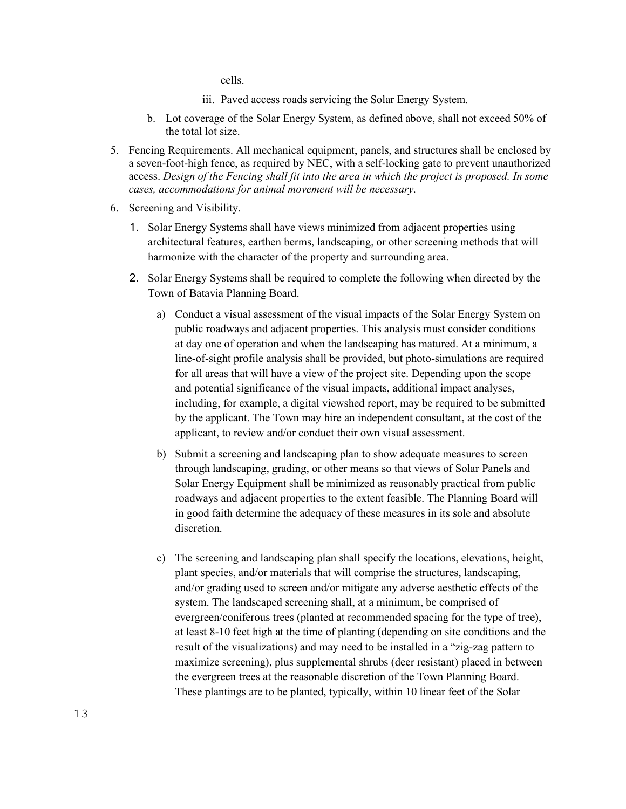cells.

- iii. Paved access roads servicing the Solar Energy System.
- b. Lot coverage of the Solar Energy System, as defined above, shall not exceed 50% of the total lot size.
- 5. Fencing Requirements. All mechanical equipment, panels, and structures shall be enclosed by a seven-foot-high fence, as required by NEC, with a self-locking gate to prevent unauthorized access. *Design of the Fencing shall fit into the area in which the project is proposed. In some cases, accommodations for animal movement will be necessary.*
- 6. Screening and Visibility.
	- 1. Solar Energy Systems shall have views minimized from adjacent properties using architectural features, earthen berms, landscaping, or other screening methods that will harmonize with the character of the property and surrounding area.
	- 2. Solar Energy Systems shall be required to complete the following when directed by the Town of Batavia Planning Board.
		- a) Conduct a visual assessment of the visual impacts of the Solar Energy System on public roadways and adjacent properties. This analysis must consider conditions at day one of operation and when the landscaping has matured. At a minimum, a line-of-sight profile analysis shall be provided, but photo-simulations are required for all areas that will have a view of the project site. Depending upon the scope and potential significance of the visual impacts, additional impact analyses, including, for example, a digital viewshed report, may be required to be submitted by the applicant. The Town may hire an independent consultant, at the cost of the applicant, to review and/or conduct their own visual assessment.
		- b) Submit a screening and landscaping plan to show adequate measures to screen through landscaping, grading, or other means so that views of Solar Panels and Solar Energy Equipment shall be minimized as reasonably practical from public roadways and adjacent properties to the extent feasible. The Planning Board will in good faith determine the adequacy of these measures in its sole and absolute discretion.
		- c) The screening and landscaping plan shall specify the locations, elevations, height, plant species, and/or materials that will comprise the structures, landscaping, and/or grading used to screen and/or mitigate any adverse aesthetic effects of the system. The landscaped screening shall, at a minimum, be comprised of evergreen/coniferous trees (planted at recommended spacing for the type of tree), at least 8-10 feet high at the time of planting (depending on site conditions and the result of the visualizations) and may need to be installed in a "zig-zag pattern to maximize screening), plus supplemental shrubs (deer resistant) placed in between the evergreen trees at the reasonable discretion of the Town Planning Board. These plantings are to be planted, typically, within 10 linear feet of the Solar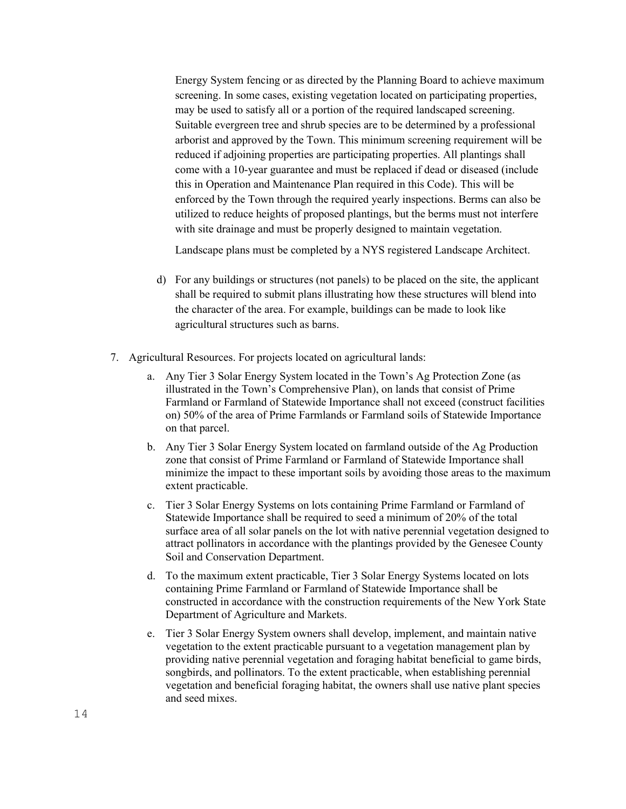Energy System fencing or as directed by the Planning Board to achieve maximum screening. In some cases, existing vegetation located on participating properties, may be used to satisfy all or a portion of the required landscaped screening. Suitable evergreen tree and shrub species are to be determined by a professional arborist and approved by the Town. This minimum screening requirement will be reduced if adjoining properties are participating properties. All plantings shall come with a 10-year guarantee and must be replaced if dead or diseased (include this in Operation and Maintenance Plan required in this Code). This will be enforced by the Town through the required yearly inspections. Berms can also be utilized to reduce heights of proposed plantings, but the berms must not interfere with site drainage and must be properly designed to maintain vegetation.

Landscape plans must be completed by a NYS registered Landscape Architect.

- d) For any buildings or structures (not panels) to be placed on the site, the applicant shall be required to submit plans illustrating how these structures will blend into the character of the area. For example, buildings can be made to look like agricultural structures such as barns.
- 7. Agricultural Resources. For projects located on agricultural lands:
	- a. Any Tier 3 Solar Energy System located in the Town's Ag Protection Zone (as illustrated in the Town's Comprehensive Plan), on lands that consist of Prime Farmland or Farmland of Statewide Importance shall not exceed (construct facilities on) 50% of the area of Prime Farmlands or Farmland soils of Statewide Importance on that parcel.
	- b. Any Tier 3 Solar Energy System located on farmland outside of the Ag Production zone that consist of Prime Farmland or Farmland of Statewide Importance shall minimize the impact to these important soils by avoiding those areas to the maximum extent practicable.
	- c. Tier 3 Solar Energy Systems on lots containing Prime Farmland or Farmland of Statewide Importance shall be required to seed a minimum of 20% of the total surface area of all solar panels on the lot with native perennial vegetation designed to attract pollinators in accordance with the plantings provided by the Genesee County Soil and Conservation Department.
	- d. To the maximum extent practicable, Tier 3 Solar Energy Systems located on lots containing Prime Farmland or Farmland of Statewide Importance shall be constructed in accordance with the [construction requirements](https://www.agriculture.ny.gov/ap/agservices/Solar_Energy_Guidelines.pdf) of the New York State Department of Agriculture and Markets.
	- e. Tier 3 Solar Energy System owners shall develop, implement, and maintain native vegetation to the extent practicable pursuant to a vegetation management plan by providing native perennial vegetation and foraging habitat beneficial to game birds, songbirds, and pollinators. To the extent practicable, when establishing perennial vegetation and beneficial foraging habitat, the owners shall use native plant species and seed mixes.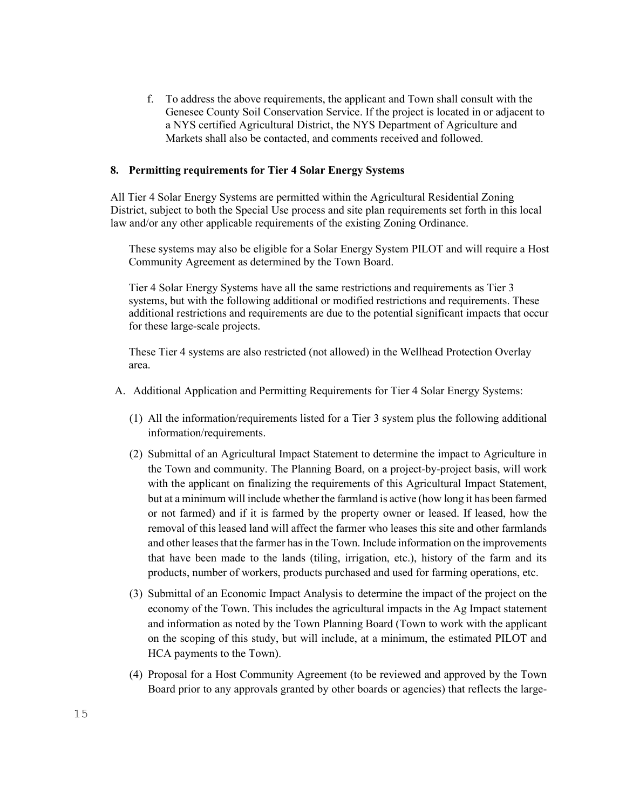f. To address the above requirements, the applicant and Town shall consult with the Genesee County Soil Conservation Service. If the project is located in or adjacent to a NYS certified Agricultural District, the NYS Department of Agriculture and Markets shall also be contacted, and comments received and followed.

#### **8. Permitting requirements for Tier 4 Solar Energy Systems**

All Tier 4 Solar Energy Systems are permitted within the Agricultural Residential Zoning District, subject to both the Special Use process and site plan requirements set forth in this local law and/or any other applicable requirements of the existing Zoning Ordinance.

These systems may also be eligible for a Solar Energy System PILOT and will require a Host Community Agreement as determined by the Town Board.

Tier 4 Solar Energy Systems have all the same restrictions and requirements as Tier 3 systems, but with the following additional or modified restrictions and requirements. These additional restrictions and requirements are due to the potential significant impacts that occur for these large-scale projects.

These Tier 4 systems are also restricted (not allowed) in the Wellhead Protection Overlay area.

- A. Additional Application and Permitting Requirements for Tier 4 Solar Energy Systems:
	- (1) All the information/requirements listed for a Tier 3 system plus the following additional information/requirements.
	- (2) Submittal of an Agricultural Impact Statement to determine the impact to Agriculture in the Town and community. The Planning Board, on a project-by-project basis, will work with the applicant on finalizing the requirements of this Agricultural Impact Statement, but at a minimum will include whether the farmland is active (how long it has been farmed or not farmed) and if it is farmed by the property owner or leased. If leased, how the removal of this leased land will affect the farmer who leases this site and other farmlands and other leases that the farmer has in the Town. Include information on the improvements that have been made to the lands (tiling, irrigation, etc.), history of the farm and its products, number of workers, products purchased and used for farming operations, etc.
	- (3) Submittal of an Economic Impact Analysis to determine the impact of the project on the economy of the Town. This includes the agricultural impacts in the Ag Impact statement and information as noted by the Town Planning Board (Town to work with the applicant on the scoping of this study, but will include, at a minimum, the estimated PILOT and HCA payments to the Town).
	- (4) Proposal for a Host Community Agreement (to be reviewed and approved by the Town Board prior to any approvals granted by other boards or agencies) that reflects the large-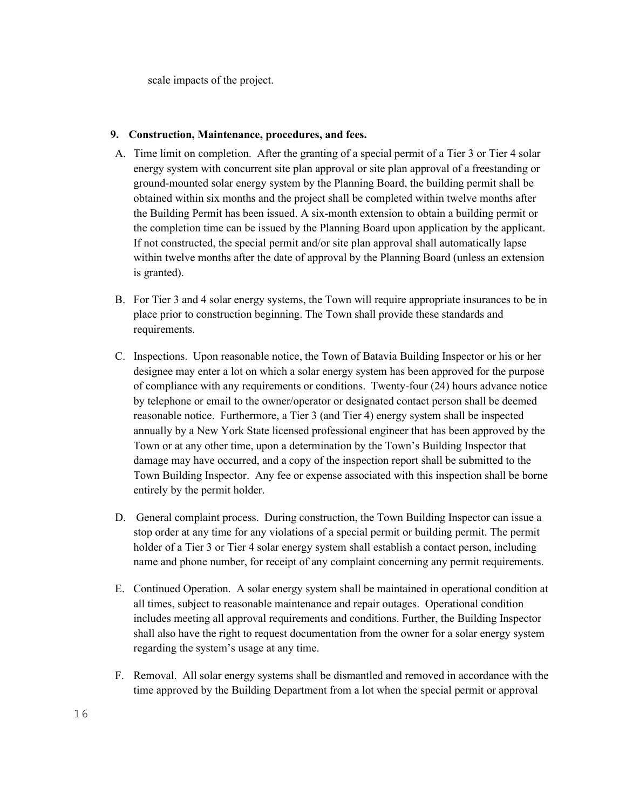scale impacts of the project.

### **9. Construction, Maintenance, procedures, and fees.**

- A. Time limit on completion. After the granting of a special permit of a Tier 3 or Tier 4 solar energy system with concurrent site plan approval or site plan approval of a freestanding or ground-mounted solar energy system by the Planning Board, the building permit shall be obtained within six months and the project shall be completed within twelve months after the Building Permit has been issued. A six-month extension to obtain a building permit or the completion time can be issued by the Planning Board upon application by the applicant. If not constructed, the special permit and/or site plan approval shall automatically lapse within twelve months after the date of approval by the Planning Board (unless an extension is granted).
- B. For Tier 3 and 4 solar energy systems, the Town will require appropriate insurances to be in place prior to construction beginning. The Town shall provide these standards and requirements.
- C. Inspections. Upon reasonable notice, the Town of Batavia Building Inspector or his or her designee may enter a lot on which a solar energy system has been approved for the purpose of compliance with any requirements or conditions. Twenty-four (24) hours advance notice by telephone or email to the owner/operator or designated contact person shall be deemed reasonable notice. Furthermore, a Tier 3 (and Tier 4) energy system shall be inspected annually by a New York State licensed professional engineer that has been approved by the Town or at any other time, upon a determination by the Town's Building Inspector that damage may have occurred, and a copy of the inspection report shall be submitted to the Town Building Inspector. Any fee or expense associated with this inspection shall be borne entirely by the permit holder.
- D. General complaint process. During construction, the Town Building Inspector can issue a stop order at any time for any violations of a special permit or building permit. The permit holder of a Tier 3 or Tier 4 solar energy system shall establish a contact person, including name and phone number, for receipt of any complaint concerning any permit requirements.
- E. Continued Operation. A solar energy system shall be maintained in operational condition at all times, subject to reasonable maintenance and repair outages. Operational condition includes meeting all approval requirements and conditions. Further, the Building Inspector shall also have the right to request documentation from the owner for a solar energy system regarding the system's usage at any time.
- F. Removal. All solar energy systems shall be dismantled and removed in accordance with the time approved by the Building Department from a lot when the special permit or approval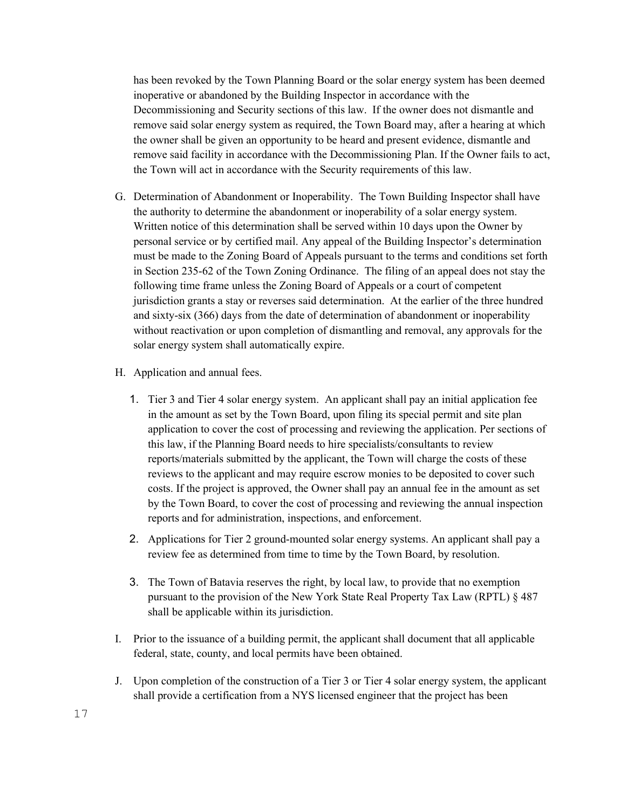has been revoked by the Town Planning Board or the solar energy system has been deemed inoperative or abandoned by the Building Inspector in accordance with the Decommissioning and Security sections of this law. If the owner does not dismantle and remove said solar energy system as required, the Town Board may, after a hearing at which the owner shall be given an opportunity to be heard and present evidence, dismantle and remove said facility in accordance with the Decommissioning Plan. If the Owner fails to act, the Town will act in accordance with the Security requirements of this law.

- G. Determination of Abandonment or Inoperability. The Town Building Inspector shall have the authority to determine the abandonment or inoperability of a solar energy system. Written notice of this determination shall be served within 10 days upon the Owner by personal service or by certified mail. Any appeal of the Building Inspector's determination must be made to the Zoning Board of Appeals pursuant to the terms and conditions set forth in Section 235-62 of the Town Zoning Ordinance. The filing of an appeal does not stay the following time frame unless the Zoning Board of Appeals or a court of competent jurisdiction grants a stay or reverses said determination. At the earlier of the three hundred and sixty-six (366) days from the date of determination of abandonment or inoperability without reactivation or upon completion of dismantling and removal, any approvals for the solar energy system shall automatically expire.
- H. Application and annual fees.
	- 1. Tier 3 and Tier 4 solar energy system. An applicant shall pay an initial application fee in the amount as set by the Town Board, upon filing its special permit and site plan application to cover the cost of processing and reviewing the application. Per sections of this law, if the Planning Board needs to hire specialists/consultants to review reports/materials submitted by the applicant, the Town will charge the costs of these reviews to the applicant and may require escrow monies to be deposited to cover such costs. If the project is approved, the Owner shall pay an annual fee in the amount as set by the Town Board, to cover the cost of processing and reviewing the annual inspection reports and for administration, inspections, and enforcement.
	- 2. Applications for Tier 2 ground-mounted solar energy systems. An applicant shall pay a review fee as determined from time to time by the Town Board, by resolution.
	- 3. The Town of Batavia reserves the right, by local law, to provide that no exemption pursuant to the provision of the New York State Real Property Tax Law (RPTL) § 487 shall be applicable within its jurisdiction.
- I. Prior to the issuance of a building permit, the applicant shall document that all applicable federal, state, county, and local permits have been obtained.
- J. Upon completion of the construction of a Tier 3 or Tier 4 solar energy system, the applicant shall provide a certification from a NYS licensed engineer that the project has been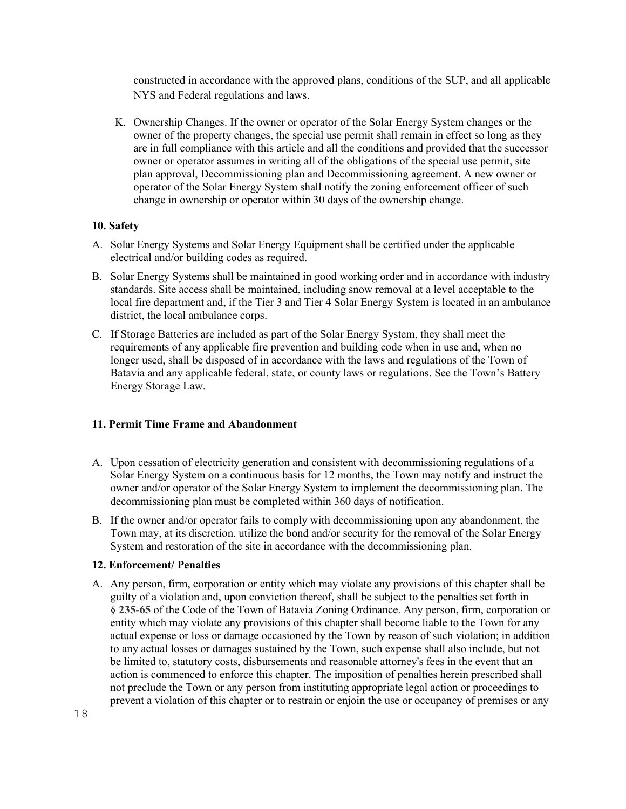constructed in accordance with the approved plans, conditions of the SUP, and all applicable NYS and Federal regulations and laws.

K. Ownership Changes. If the owner or operator of the Solar Energy System changes or the owner of the property changes, the special use permit shall remain in effect so long as they are in full compliance with this article and all the conditions and provided that the successor owner or operator assumes in writing all of the obligations of the special use permit, site plan approval, Decommissioning plan and Decommissioning agreement. A new owner or operator of the Solar Energy System shall notify the zoning enforcement officer of such change in ownership or operator within 30 days of the ownership change.

### **10. Safety**

- A. Solar Energy Systems and Solar Energy Equipment shall be certified under the applicable electrical and/or building codes as required.
- B. Solar Energy Systems shall be maintained in good working order and in accordance with industry standards. Site access shall be maintained, including snow removal at a level acceptable to the local fire department and, if the Tier 3 and Tier 4 Solar Energy System is located in an ambulance district, the local ambulance corps.
- C. If Storage Batteries are included as part of the Solar Energy System, they shall meet the requirements of any applicable fire prevention and building code when in use and, when no longer used, shall be disposed of in accordance with the laws and regulations of the Town of Batavia and any applicable federal, state, or county laws or regulations. See the Town's Battery Energy Storage Law.

### **11. Permit Time Frame and Abandonment**

- A. Upon cessation of electricity generation and consistent with decommissioning regulations of a Solar Energy System on a continuous basis for 12 months, the Town may notify and instruct the owner and/or operator of the Solar Energy System to implement the decommissioning plan. The decommissioning plan must be completed within 360 days of notification.
- B. If the owner and/or operator fails to comply with decommissioning upon any abandonment, the Town may, at its discretion, utilize the bond and/or security for the removal of the Solar Energy System and restoration of the site in accordance with the decommissioning plan.

#### **12. Enforcement/ Penalties**

A. Any person, firm, corporation or entity which may violate any provisions of this chapter shall be guilty of a violation and, upon conviction thereof, shall be subject to the penalties set forth in § **[235-65](https://ecode360.com/8983962#8983962)** of the Code of the Town of Batavia Zoning Ordinance. Any person, firm, corporation or entity which may violate any provisions of this chapter shall become liable to the Town for any actual expense or loss or damage occasioned by the Town by reason of such violation; in addition to any actual losses or damages sustained by the Town, such expense shall also include, but not be limited to, statutory costs, disbursements and reasonable attorney's fees in the event that an action is commenced to enforce this chapter. The imposition of penalties herein prescribed shall not preclude the Town or any person from instituting appropriate legal action or proceedings to prevent a violation of this chapter or to restrain or enjoin the use or occupancy of premises or any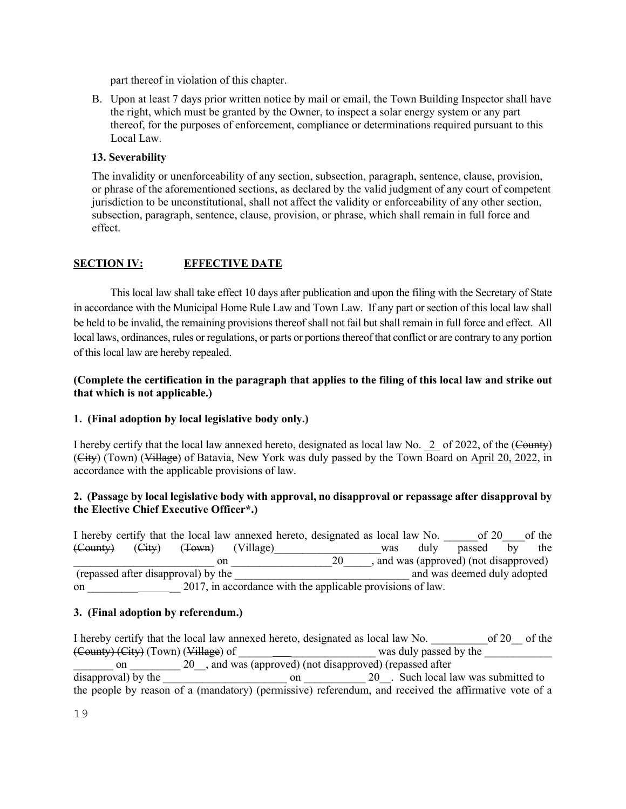part thereof in violation of this chapter.

B. Upon at least 7 days prior written notice by mail or email, the Town Building Inspector shall have the right, which must be granted by the Owner, to inspect a solar energy system or any part thereof, for the purposes of enforcement, compliance or determinations required pursuant to this Local Law.

## **13. Severability**

The invalidity or unenforceability of any section, subsection, paragraph, sentence, clause, provision, or phrase of the aforementioned sections, as declared by the valid judgment of any court of competent jurisdiction to be unconstitutional, shall not affect the validity or enforceability of any other section, subsection, paragraph, sentence, clause, provision, or phrase, which shall remain in full force and effect.

## **SECTION IV: EFFECTIVE DATE**

This local law shall take effect 10 days after publication and upon the filing with the Secretary of State in accordance with the Municipal Home Rule Law and Town Law. If any part or section of this local law shall be held to be invalid, the remaining provisions thereof shall not fail but shall remain in full force and effect. All local laws, ordinances, rules or regulations, or parts or portions thereof that conflict or are contrary to any portion of this local law are hereby repealed.

### **(Complete the certification in the paragraph that applies to the filing of this local law and strike out that which is not applicable.)**

### **1. (Final adoption by local legislative body only.)**

I hereby certify that the local law annexed hereto, designated as local law No. 2 of 2022, of the (County) (City) (Town) (Village) of Batavia, New York was duly passed by the Town Board on April 20, 2022, in accordance with the applicable provisions of law.

### **2. (Passage by local legislative body with approval, no disapproval or repassage after disapproval by the Elective Chief Executive Officer\*.)**

I hereby certify that the local law annexed hereto, designated as local law No.  $\qquad \qquad$  of 20  $\qquad$  of the (County) (City) (Town) (Village) was duly passed by the \_\_\_\_\_\_\_\_\_\_\_\_\_\_\_\_\_\_\_\_\_\_\_\_\_ on \_\_\_\_\_\_\_\_\_\_\_\_\_\_\_\_\_\_20\_\_\_\_\_, and was (approved) (not disapproved) (repassed after disapproval) by the \_\_\_\_\_\_\_\_\_\_\_\_\_\_\_\_\_\_\_\_\_\_\_\_\_\_\_\_\_\_\_ and was deemed duly adopted on 2017, in accordance with the applicable provisions of law.

### **3. (Final adoption by referendum.)**

I hereby certify that the local law annexed hereto, designated as local law No.  $\qquad \qquad$  of 20  $\qquad$  of the (County) (City) (Town) (Village) of \_\_\_\_\_\_ \_\_\_\_\_\_\_\_\_\_\_\_\_\_\_ was duly passed by the \_\_\_\_\_\_\_\_\_\_\_\_ on 20 and was (approved) (not disapproved) (repassed after disapproval) by the  $\qquad \qquad \text{on} \qquad \qquad 20$ . Such local law was submitted to the people by reason of a (mandatory) (permissive) referendum, and received the affirmative vote of a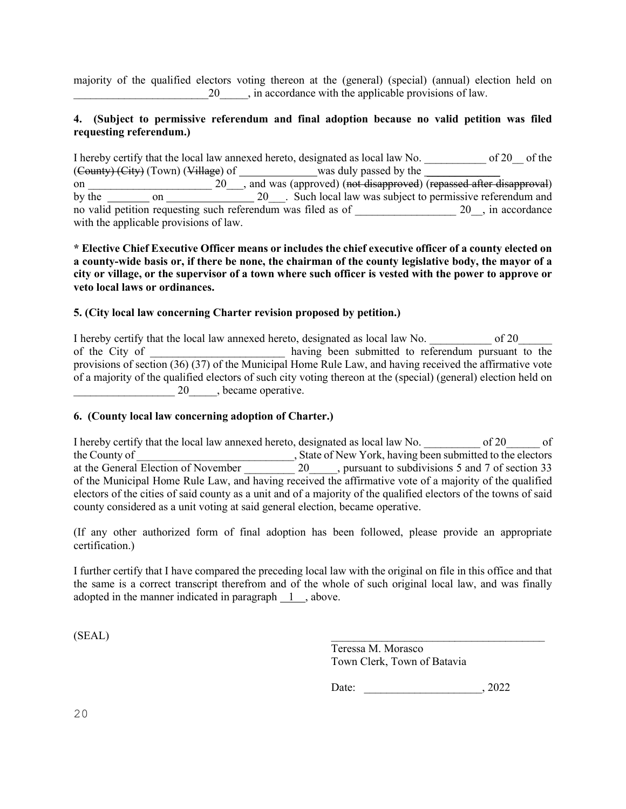majority of the qualified electors voting thereon at the (general) (special) (annual) election held on \_\_\_\_\_\_\_\_\_\_\_\_\_\_\_\_\_\_\_\_\_\_\_\_20\_\_\_\_\_, in accordance with the applicable provisions of law.

### **4. (Subject to permissive referendum and final adoption because no valid petition was filed requesting referendum.)**

I hereby certify that the local law annexed hereto, designated as local law No. \_\_\_\_\_\_\_\_\_\_\_ of 20\_\_ of the (County) (City) (Town) (Village) of was duly passed by the was duly passed by the on \_\_\_\_\_\_\_\_\_\_\_\_\_\_\_\_\_\_\_\_\_\_ 20\_\_\_, and was (approved) (not disapproved) (repassed after disapproval) by the  $\frac{1}{\sqrt{20}}$  on  $\frac{1}{\sqrt{20}}$  Such local law was subject to permissive referendum and no valid petition requesting such referendum was filed as of  $20$ , in accordance with the applicable provisions of law.

### **\* Elective Chief Executive Officer means or includes the chief executive officer of a county elected on a county-wide basis or, if there be none, the chairman of the county legislative body, the mayor of a city or village, or the supervisor of a town where such officer is vested with the power to approve or veto local laws or ordinances.**

### **5. (City local law concerning Charter revision proposed by petition.)**

I hereby certify that the local law annexed hereto, designated as local law No. \_\_\_\_\_\_\_\_\_\_\_\_\_ of 20\_ of the City of \_\_\_\_\_\_\_\_\_\_\_\_\_\_\_\_\_\_\_\_\_\_\_ having been submitted to referendum pursuant to the provisions of section (36) (37) of the Municipal Home Rule Law, and having received the affirmative vote of a majority of the qualified electors of such city voting thereon at the (special) (general) election held on  $\frac{1}{20}$  20  $\frac{1}{20}$ , became operative.

### **6. (County local law concerning adoption of Charter.)**

I hereby certify that the local law annexed hereto, designated as local law No. \_\_\_\_\_\_\_\_\_\_ of 20\_\_\_\_\_\_ of the County of \_\_\_\_\_\_\_\_\_\_\_\_\_\_\_\_\_\_\_\_\_\_\_\_\_\_\_\_\_\_\_\_, State of New York, having been submitted to the electors at the General Election of November 20 \_\_\_\_\_, pursuant to subdivisions 5 and 7 of section 33 at the General Election of November 20 and pursuant to subdivisions 5 and 7 of section 33 of the Municipal Home Rule Law, and having received the affirmative vote of a majority of the qualified electors of the cities of said county as a unit and of a majority of the qualified electors of the towns of said county considered as a unit voting at said general election, became operative.

(If any other authorized form of final adoption has been followed, please provide an appropriate certification.)

I further certify that I have compared the preceding local law with the original on file in this office and that the same is a correct transcript therefrom and of the whole of such original local law, and was finally adopted in the manner indicated in paragraph 1 , above.

 $(SEAL)$ 

Teressa M. Morasco Town Clerk, Town of Batavia

Date: , 2022

20